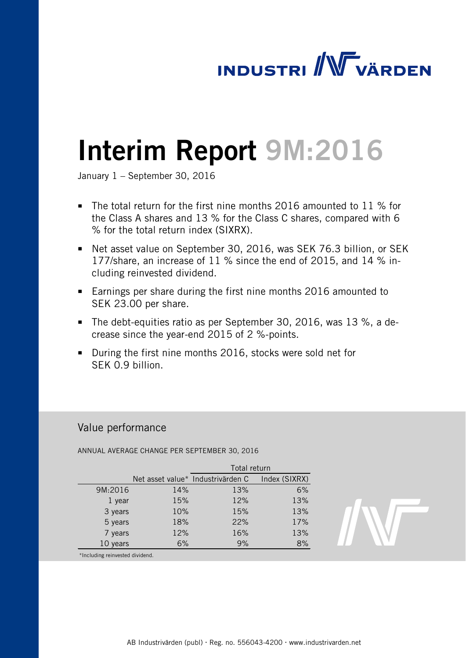# **INDUSTRI / WWW VÄRDEN**

# Interim Report 9M:2016

January 1 – September 30, 2016

- The total return for the first nine months 2016 amounted to 11 % for the Class A shares and 13 % for the Class C shares, compared with 6 % for the total return index (SIXRX).
- Net asset value on September 30, 2016, was SEK 76.3 billion, or SEK 177/share, an increase of 11 % since the end of 2015, and 14 % including reinvested dividend.
- **Earnings per share during the first nine months 2016 amounted to** SEK 23.00 per share.
- The debt-equities ratio as per September 30, 2016, was 13 %, a decrease since the year-end 2015 of 2 %-points.
- During the first nine months 2016, stocks were sold net for SEK 0.9 billion.

# Value performance

ANNUAL AVERAGE CHANGE PER SEPTEMBER 30, 2016

|          |     | Total return                      |               |  |  |
|----------|-----|-----------------------------------|---------------|--|--|
|          |     | Net asset value* Industrivärden C | Index (SIXRX) |  |  |
| 9M:2016  | 14% | 13%                               | 6%            |  |  |
| 1 year   | 15% | 12%                               | 13%           |  |  |
| 3 years  | 10% | 15%                               | 13%           |  |  |
| 5 years  | 18% | 22%                               | 17%           |  |  |
| 7 years  | 12% | 16%                               | 13%           |  |  |
| 10 years | 6%  | 9%                                | 8%            |  |  |
|          |     |                                   |               |  |  |



\*Including reinvested dividend.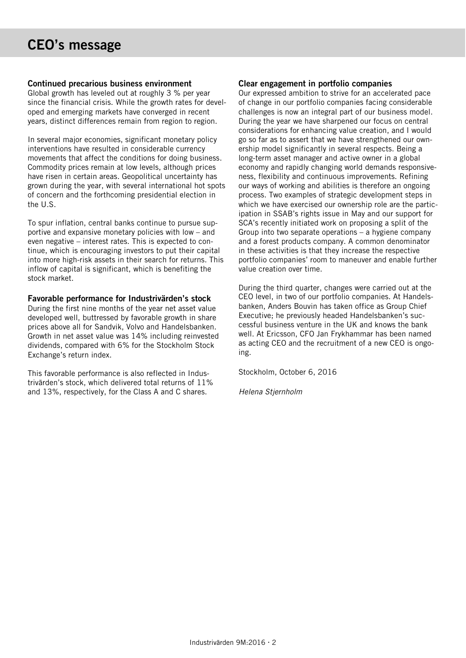## Continued precarious business environment

Global growth has leveled out at roughly 3 % per year since the financial crisis. While the growth rates for developed and emerging markets have converged in recent years, distinct differences remain from region to region.

In several major economies, significant monetary policy interventions have resulted in considerable currency movements that affect the conditions for doing business. Commodity prices remain at low levels, although prices have risen in certain areas. Geopolitical uncertainty has grown during the year, with several international hot spots of concern and the forthcoming presidential election in the U.S.

To spur inflation, central banks continue to pursue supportive and expansive monetary policies with low – and even negative – interest rates. This is expected to continue, which is encouraging investors to put their capital into more high-risk assets in their search for returns. This inflow of capital is significant, which is benefiting the stock market.

## Favorable performance for Industrivärden's stock

During the first nine months of the year net asset value developed well, buttressed by favorable growth in share prices above all for Sandvik, Volvo and Handelsbanken. Growth in net asset value was 14% including reinvested dividends, compared with 6% for the Stockholm Stock Exchange's return index.

This favorable performance is also reflected in Industrivärden's stock, which delivered total returns of 11% and 13%, respectively, for the Class A and C shares.

# Clear engagement in portfolio companies

Our expressed ambition to strive for an accelerated pace of change in our portfolio companies facing considerable challenges is now an integral part of our business model. During the year we have sharpened our focus on central considerations for enhancing value creation, and I would go so far as to assert that we have strengthened our ownership model significantly in several respects. Being a long-term asset manager and active owner in a global economy and rapidly changing world demands responsiveness, flexibility and continuous improvements. Refining our ways of working and abilities is therefore an ongoing process. Two examples of strategic development steps in which we have exercised our ownership role are the participation in SSAB's rights issue in May and our support for SCA's recently initiated work on proposing a split of the Group into two separate operations – a hygiene company and a forest products company. A common denominator in these activities is that they increase the respective portfolio companies' room to maneuver and enable further value creation over time.

During the third quarter, changes were carried out at the CEO level, in two of our portfolio companies. At Handelsbanken, Anders Bouvin has taken office as Group Chief Executive; he previously headed Handelsbanken's successful business venture in the UK and knows the bank well. At Ericsson, CFO Jan Frykhammar has been named as acting CEO and the recruitment of a new CEO is ongoing.

Stockholm, October 6, 2016

*Helena Stjernholm*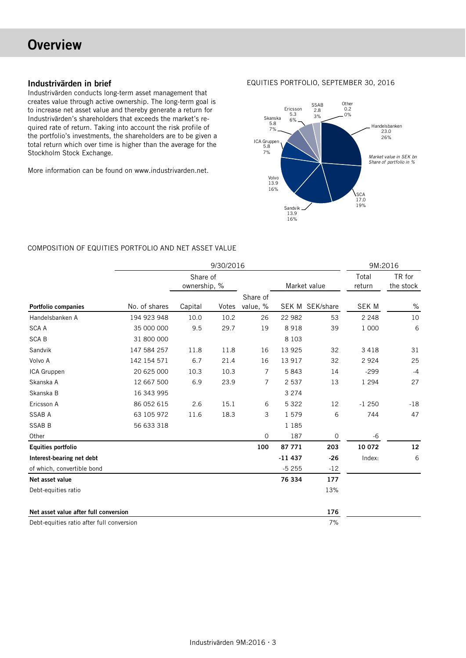# **Overview**

## Industrivärden in brief

Industrivärden conducts long-term asset management that creates value through active ownership. The long-term goal is to increase net asset value and thereby generate a return for Industrivärden's shareholders that exceeds the market's required rate of return. Taking into account the risk profile of the portfolio's investments, the shareholders are to be given a total return which over time is higher than the average for the Stockholm Stock Exchange.

More information can be found on www.industrivarden.net.

EQUITIES PORTFOLIO, SEPTEMBER 30, 2016



# COMPOSITION OF EQUITIES PORTFOLIO AND NET ASSET VALUE

|                                           |               |                          | 9/30/2016 |                |          |                 |                 | 9M:2016             |
|-------------------------------------------|---------------|--------------------------|-----------|----------------|----------|-----------------|-----------------|---------------------|
|                                           |               | Share of<br>ownership, % |           |                |          | Market value    | Total<br>return | TR for<br>the stock |
|                                           |               |                          |           | Share of       |          |                 |                 |                     |
| <b>Portfolio companies</b>                | No. of shares | Capital                  | Votes     | value, %       |          | SEK M SEK/share | <b>SEK M</b>    | $\%$                |
| Handelsbanken A                           | 194 923 948   | 10.0                     | 10.2      | 26             | 22 982   | 53              | 2 2 4 8         | 10                  |
| <b>SCA A</b>                              | 35 000 000    | 9.5                      | 29.7      | 19             | 8918     | 39              | 1 000           | 6                   |
| <b>SCAB</b>                               | 31 800 000    |                          |           |                | 8 1 0 3  |                 |                 |                     |
| Sandvik                                   | 147 584 257   | 11.8                     | 11.8      | 16             | 13 9 25  | 32              | 3 4 1 8         | 31                  |
| Volvo A                                   | 142 154 571   | 6.7                      | 21.4      | 16             | 13 917   | 32              | 2 9 2 4         | 25                  |
| ICA Gruppen                               | 20 625 000    | 10.3                     | 10.3      | $\overline{7}$ | 5843     | 14              | $-299$          | $-4$                |
| Skanska A                                 | 12 667 500    | 6.9                      | 23.9      | 7              | 2 5 3 7  | 13              | 1 2 9 4         | 27                  |
| Skanska B                                 | 16 343 995    |                          |           |                | 3 2 7 4  |                 |                 |                     |
| Ericsson A                                | 86 052 615    | 2.6                      | 15.1      | 6              | 5 3 2 2  | 12              | $-1250$         | $-18$               |
| <b>SSAB A</b>                             | 63 105 972    | 11.6                     | 18.3      | 3              | 1579     | 6               | 744             | 47                  |
| <b>SSAB B</b>                             | 56 633 318    |                          |           |                | 1 1 8 5  |                 |                 |                     |
| Other                                     |               |                          |           | 0              | 187      | 0               | -6              |                     |
| <b>Equities portfolio</b>                 |               |                          |           | 100            | 87 771   | 203             | 10 072          | 12                  |
| Interest-bearing net debt                 |               |                          |           |                | $-11437$ | $-26$           | Index:          | 6                   |
| of which, convertible bond                |               |                          |           |                | $-5255$  | $-12$           |                 |                     |
| Net asset value                           |               |                          |           |                | 76 334   | 177             |                 |                     |
| Debt-equities ratio                       |               |                          |           |                |          | 13%             |                 |                     |
| Net asset value after full conversion     |               |                          |           |                |          | 176             |                 |                     |
| Debt-equities ratio after full conversion |               |                          |           |                |          | 7%              |                 |                     |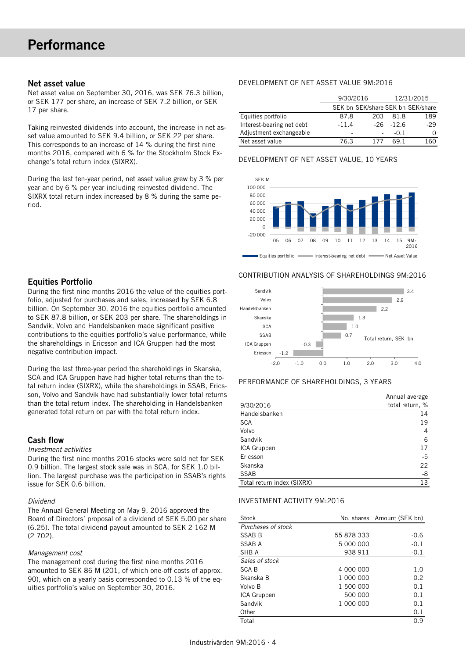#### Net asset value

Net asset value on September 30, 2016, was SEK 76.3 billion, or SEK 177 per share, an increase of SEK 7.2 billion, or SEK 17 per share.

Taking reinvested dividends into account, the increase in net asset value amounted to SEK 9.4 billion, or SEK 22 per share. This corresponds to an increase of 14 % during the first nine months 2016, compared with 6 % for the Stockholm Stock Exchange's total return index (SIXRX).

During the last ten-year period, net asset value grew by 3 % per year and by 6 % per year including reinvested dividend. The SIXRX total return index increased by 8 % during the same period.

# Equities Portfolio

During the first nine months 2016 the value of the equities portfolio, adjusted for purchases and sales, increased by SEK 6.8 billion. On September 30, 2016 the equities portfolio amounted to SEK 87.8 billion, or SEK 203 per share. The shareholdings in Sandvik, Volvo and Handelsbanken made significant positive contributions to the equities portfolio's value performance, while the shareholdings in Ericsson and ICA Gruppen had the most negative contribution impact.

During the last three-year period the shareholdings in Skanska, SCA and ICA Gruppen have had higher total returns than the total return index (SIXRX), while the shareholdings in SSAB, Ericsson, Volvo and Sandvik have had substantially lower total returns than the total return index. The shareholding in Handelsbanken generated total return on par with the total return index.

### Cash flow

#### *Investment activities*

During the first nine months 2016 stocks were sold net for SEK 0.9 billion. The largest stock sale was in SCA, for SEK 1.0 billion. The largest purchase was the participation in SSAB's rights issue for SEK 0.6 billion.

#### *Dividend*

The Annual General Meeting on May 9, 2016 approved the Board of Directors' proposal of a dividend of SEK 5.00 per share (6.25). The total dividend payout amounted to SEK 2 162 M (2 702).

#### *Management cost*

The management cost during the first nine months 2016 amounted to SEK 86 M (201, of which one-off costs of approx. 90), which on a yearly basis corresponded to 0.13 % of the equities portfolio's value on September 30, 2016.

#### DEVELOPMENT OF NET ASSET VALUE 9M:2016

|                           | 9/30/2016 |     |              | 12/31/2015                        |
|---------------------------|-----------|-----|--------------|-----------------------------------|
|                           |           |     |              | SEK bn SEK/share SEK bn SEK/share |
| Equities portfolio        | 87.8      | 203 | 81.8         | 189                               |
| Interest-bearing net debt | $-11.4$   |     | $-26 - 12.6$ | $-29$                             |
| Adjustment exchangeable   |           |     | $-0.1$       |                                   |
| Net asset value           | 76.3      |     | 69 1         | 1 60                              |

#### DEVELOPMENT OF NET ASSET VALUE, 10 YEARS



#### CONTRIBUTION ANALYSIS OF SHAREHOLDINGS 9M:2016



#### PERFORMANCE OF SHAREHOLDINGS, 3 YEARS

|                            | Annual average  |
|----------------------------|-----------------|
| 9/30/2016                  | total return, % |
| Handelsbanken              | 14              |
| <b>SCA</b>                 | 19              |
| Volvo                      | 4               |
| Sandvik                    | 6               |
| ICA Gruppen                | 17              |
| Ericsson                   | $-5$            |
| Skanska                    | 22              |
| <b>SSAB</b>                | -8              |
| Total return index (SIXRX) | 13              |

#### INVESTMENT ACTIVITY 9M:2016

| Stock              |            | No. shares Amount (SEK bn) |
|--------------------|------------|----------------------------|
| Purchases of stock |            |                            |
| SSAB B             | 55 878 333 | $-0.6$                     |
| SSAB A             | 5 000 000  | $-0.1$                     |
| SHB A              | 938 911    | $-0.1$                     |
| Sales of stock     |            |                            |
| <b>SCAB</b>        | 4 000 000  | 1.0                        |
| Skanska B          | 1 000 000  | 0.2                        |
| Volvo B            | 1 500 000  | 0.1                        |
| ICA Gruppen        | 500 000    | 0.1                        |
| Sandvik            | 1 000 000  | 0.1                        |
| Other              |            | 0.1                        |
| Total              |            | 0.9                        |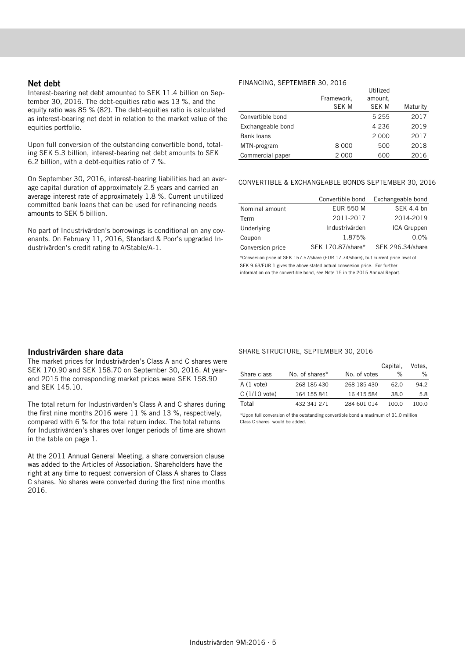#### Net debt

Interest-bearing net debt amounted to SEK 11.4 billion on September 30, 2016. The debt-equities ratio was 13 %, and the equity ratio was 85 % (82). The debt-equities ratio is calculated as interest-bearing net debt in relation to the market value of the equities portfolio.

Upon full conversion of the outstanding convertible bond, totaling SEK 5.3 billion, interest-bearing net debt amounts to SEK 6.2 billion, with a debt-equities ratio of 7 %.

On September 30, 2016, interest-bearing liabilities had an average capital duration of approximately 2.5 years and carried an average interest rate of approximately 1.8 %. Current unutilized committed bank loans that can be used for refinancing needs amounts to SEK 5 billion.

No part of Industrivärden's borrowings is conditional on any covenants. On February 11, 2016, Standard & Poor's upgraded Industrivärden's credit rating to A/Stable/A-1.

#### FINANCING, SEPTEMBER 30, 2016

|                   | Framework,<br><b>SEK M</b> | Utilized<br>amount.<br><b>SEK M</b> | Maturity |
|-------------------|----------------------------|-------------------------------------|----------|
| Convertible bond  |                            | 5 2 5 5                             | 2017     |
| Exchangeable bond |                            | 4 2 3 6                             | 2019     |
| Bank loans        |                            | 2 0 0 0                             | 2017     |
| MTN-program       | 8 0 0 0                    | 500                                 | 2018     |
| Commercial paper  | 2 0 0 0                    | 600                                 | 2016     |

#### CONVERTIBLE & EXCHANGEABLE BONDS SEPTEMBER 30, 2016

|                  | Convertible bond  | Exchangeable bond |
|------------------|-------------------|-------------------|
| Nominal amount   | <b>EUR 550 M</b>  | SEK 4.4 bn        |
| Term             | 2011-2017         | 2014-2019         |
| Underlying       | Industrivärden    | ICA Gruppen       |
| Coupon           | 1.875%            | 0.0%              |
| Conversion price | SEK 170.87/share* | SEK 296.34/share  |

\*Conversion price of SEK 157.57/share (EUR 17.74/share), but current price level of SEK 9.63/EUR 1 gives the above stated actual conversion price. For further information on the convertible bond, see Note 15 in the 2015 Annual Report.

#### Industrivärden share data

The market prices for Industrivärden's Class A and C shares were SEK 170.90 and SEK 158.70 on September 30, 2016. At yearend 2015 the corresponding market prices were SEK 158.90 and SEK 145.10.

The total return for Industrivärden's Class A and C shares during the first nine months 2016 were 11 % and 13 %, respectively, compared with 6 % for the total return index. The total returns for Industrivärden's shares over longer periods of time are shown in the table on page 1.

At the 2011 Annual General Meeting, a share conversion clause was added to the Articles of Association. Shareholders have the right at any time to request conversion of Class A shares to Class C shares. No shares were converted during the first nine months 2016.

#### SHARE STRUCTURE, SEPTEMBER 30, 2016

|                |                |              | Capital, | Votes. |
|----------------|----------------|--------------|----------|--------|
| Share class    | No. of shares* | No. of votes | ℅        | ℅      |
| A (1 vote)     | 268 185 430    | 268 185 430  | 62.O     | 94.2   |
| $C(1/10$ vote) | 164 155 841    | 16 415 584   | 38.0     | 5.8    |
| Total          | 432 341 271    | 284 601 014  | 100.0    | 100.O  |

\*Upon full conversion of the outstanding convertible bond a maximum of 31.0 million Class C shares would be added.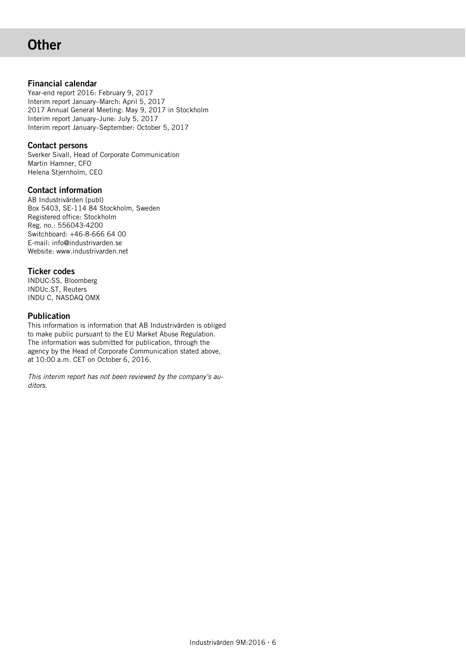# **Other**

# Financial calendar

Year-end report 2016: February 9, 2017 Interim report January–March: April 5, 2017 2017 Annual General Meeting: May 9, 2017 in Stockholm Interim report January–June: July 5, 2017 Interim report January–September: October 5, 2017

# Contact persons

Sverker Sivall, Head of Corporate Communication Martin Hamner, CFO Helena Stjernholm, CEO

# Contact information

AB Industrivärden (publ) Box 5403, SE-114 84 Stockholm, Sweden Registered office: Stockholm Reg. no.: 556043-4200 Switchboard: +46-8-666 64 00 E-mail: info@industrivarden.se Website: www.industrivarden.net

# Ticker codes

INDUC:SS, Bloomberg INDUc.ST, Reuters INDU C, NASDAQ OMX

# Publication

This information is information that AB Industrivärden is obliged to make public pursuant to the EU Market Abuse Regulation. The information was submitted for publication, through the agency by the Head of Corporate Communication stated above, at 10:00 a.m. CET on October 6, 2016.

*This interim report has not been reviewed by the company's auditors.*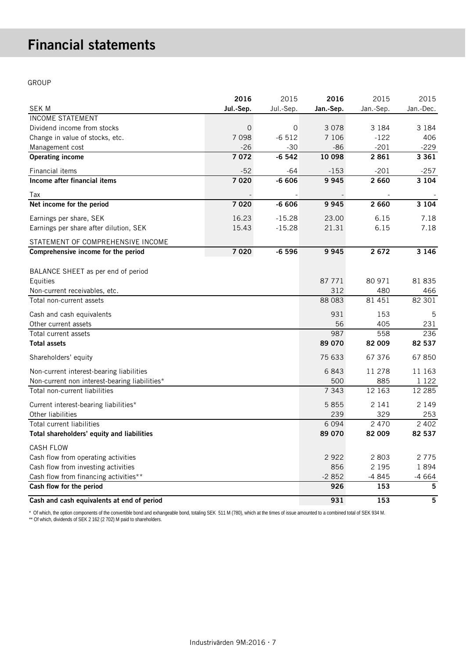# Financial statements

GROUP

|                                               | 2016      | 2015      | 2016      | 2015      | 2015      |
|-----------------------------------------------|-----------|-----------|-----------|-----------|-----------|
| <b>SEK M</b>                                  | Jul.-Sep. | Jul.-Sep. | Jan.-Sep. | Jan.-Sep. | Jan.-Dec. |
| <b>INCOME STATEMENT</b>                       |           |           |           |           |           |
| Dividend income from stocks                   | $\Omega$  | 0         | 3 0 7 8   | 3 1 8 4   | 3 1 8 4   |
| Change in value of stocks, etc.               | 7 0 9 8   | $-6512$   | 7 1 0 6   | $-122$    | 406       |
| Management cost                               | $-26$     | $-30$     | $-86$     | $-201$    | $-229$    |
| <b>Operating income</b>                       | 7072      | $-6542$   | 10 098    | 2861      | 3 3 6 1   |
| Financial items                               | $-52$     | -64       | $-153$    | $-201$    | $-257$    |
| Income after financial items                  | 7 0 2 0   | $-6606$   | 9945      | 2 6 6 0   | 3 1 0 4   |
| Tax                                           |           |           |           |           |           |
| Net income for the period                     | 7 0 2 0   | $-6606$   | 9945      | 2 6 6 0   | 3 1 0 4   |
| Earnings per share, SEK                       | 16.23     | $-15.28$  | 23.00     | 6.15      | 7.18      |
| Earnings per share after dilution, SEK        | 15.43     | $-15.28$  | 21.31     | 6.15      | 7.18      |
| STATEMENT OF COMPREHENSIVE INCOME             |           |           |           |           |           |
| Comprehensive income for the period           | 7 0 2 0   | $-6596$   | 9945      | 2 6 7 2   | 3 1 4 6   |
|                                               |           |           |           |           |           |
| BALANCE SHEET as per end of period            |           |           |           |           |           |
| Equities                                      |           |           | 87 771    | 80 971    | 81 835    |
| Non-current receivables, etc.                 |           |           | 312       | 480       | 466       |
| Total non-current assets                      |           |           | 88 0 83   | 81 451    | 82 301    |
| Cash and cash equivalents                     |           |           | 931       | 153       | 5         |
| Other current assets                          |           |           | 56        | 405       | 231       |
| Total current assets                          |           |           | 987       | 558       | 236       |
| <b>Total assets</b>                           |           |           | 89 070    | 82 009    | 82 537    |
| Shareholders' equity                          |           |           | 75 633    | 67 37 6   | 67850     |
| Non-current interest-bearing liabilities      |           |           | 6843      | 11 278    | 11 163    |
| Non-current non interest-bearing liabilities* |           |           | 500       | 885       | 1 1 2 2   |
| Total non-current liabilities                 |           |           | 7 3 4 3   | 12 163    | 12 2 8 5  |
| Current interest-bearing liabilities*         |           |           | 5855      | 2 1 4 1   | 2 1 4 9   |
| Other liabilities                             |           |           | 239       | 329       | 253       |
| Total current liabilities                     |           |           | 6 0 9 4   | 2 4 7 0   | 2 4 0 2   |
| Total shareholders' equity and liabilities    |           |           | 89 070    | 82 009    | 82 537    |
| <b>CASH FLOW</b>                              |           |           |           |           |           |
| Cash flow from operating activities           |           |           | 2922      | 2 8 0 3   | 2775      |
| Cash flow from investing activities           |           |           | 856       | 2 1 9 5   | 1894      |
| Cash flow from financing activities**         |           |           | $-2852$   | $-4845$   | $-4664$   |
| Cash flow for the period                      |           |           | 926       | 153       | 5         |
| Cash and cash equivalents at end of period    |           |           | 931       | 153       | 5         |

\* Of which, the option components of the convertible bond and exhangeable bond, totaling SEK 511 M (780), which at the times of issue amounted to a combined total of SEK 934 M. \*\* Of which, dividends of SEK 2 162 (2 702) M paid to shareholders.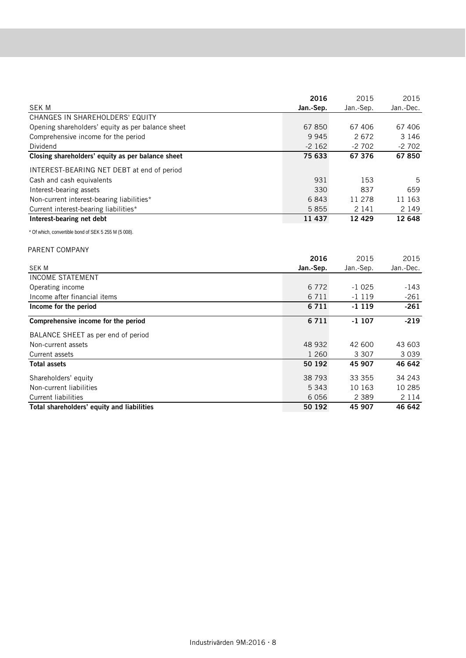|                                                      | 2016      | 2015      | 2015              |
|------------------------------------------------------|-----------|-----------|-------------------|
| <b>SEK M</b>                                         | Jan.-Sep. | Jan.-Sep. | Jan.-Dec.         |
| CHANGES IN SHAREHOLDERS' EQUITY                      |           |           |                   |
| Opening shareholders' equity as per balance sheet    | 67 850    | 67 406    | 67 40 6           |
| Comprehensive income for the period                  | 9 9 4 5   | 2672      | 3 1 4 6           |
| Dividend                                             | $-2162$   | $-2702$   | $-2702$           |
| Closing shareholders' equity as per balance sheet    | 75 633    | 67 376    | 67850             |
| INTEREST-BEARING NET DEBT at end of period           |           |           |                   |
| Cash and cash equivalents                            | 931       | 153       | 5                 |
| Interest-bearing assets                              | 330       | 837       | 659               |
| Non-current interest-bearing liabilities*            | 6843      | 11 278    | 11 163            |
| Current interest-bearing liabilities*                | 5855      | 2 1 4 1   | 2 1 4 9           |
| Interest-bearing net debt                            | 11 437    | 12 4 29   | 12 648            |
| * Of which, convertible bond of SEK 5 255 M (5 008). |           |           |                   |
| PARENT COMPANY                                       |           |           |                   |
|                                                      | 2016      | 2015      | 2015              |
| <b>SEK M</b>                                         | Jan.-Sep. | Jan.-Sep. | Jan.-Dec.         |
| <b>INCOME STATEMENT</b>                              |           |           |                   |
| Operating income                                     | 6772      | $-1025$   | -143              |
| Income after financial items                         | 6 7 1 1   | $-1119$   | $-261$            |
| Income for the period                                | 6711      | $-1119$   | $-261$            |
| Comprehensive income for the period                  | 6711      | $-1107$   | $-219$            |
| BALANCE SHEET as per end of period                   |           |           |                   |
| Non-current assets                                   | 48 932    | 42 600    | 43 603            |
| Current assets                                       | 1 2 6 0   | 3 3 0 7   | 3039              |
| <b>Total assets</b>                                  | 50 192    | 45 907    | 46 642            |
| Shareholders' equity                                 | 38 793    | 33 355    | 34 243            |
| Non-current liabilities                              |           | 10 163    | 10 285            |
|                                                      | 5 3 4 3   |           |                   |
| <b>Current liabilities</b>                           | 6 0 5 6   | 2 3 8 9   | 2 1 1 4<br>46 642 |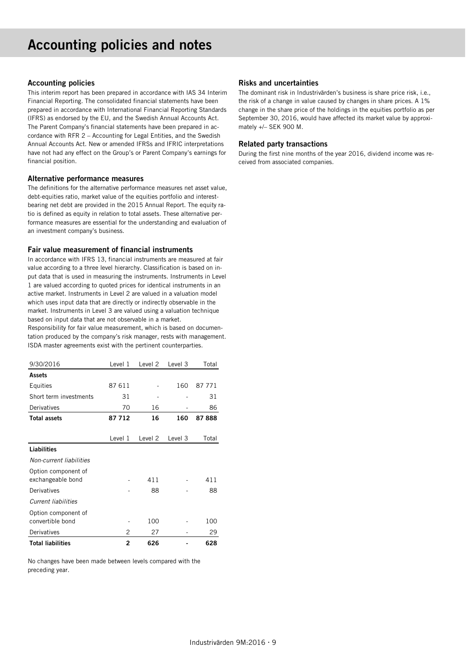# Accounting policies and notes

#### Accounting policies

This interim report has been prepared in accordance with IAS 34 Interim Financial Reporting. The consolidated financial statements have been prepared in accordance with International Financial Reporting Standards (IFRS) as endorsed by the EU, and the Swedish Annual Accounts Act. The Parent Company's financial statements have been prepared in accordance with RFR 2 – Accounting for Legal Entities, and the Swedish Annual Accounts Act. New or amended IFRSs and IFRIC interpretations have not had any effect on the Group's or Parent Company's earnings for financial position.

#### Alternative performance measures

The definitions for the alternative performance measures net asset value, debt-equities ratio, market value of the equities portfolio and interestbearing net debt are provided in the 2015 Annual Report. The equity ratio is defined as equity in relation to total assets. These alternative performance measures are essential for the understanding and evaluation of an investment company's business.

#### Fair value measurement of financial instruments

In accordance with IFRS 13, financial instruments are measured at fair value according to a three level hierarchy. Classification is based on input data that is used in measuring the instruments. Instruments in Level 1 are valued according to quoted prices for identical instruments in an active market. Instruments in Level 2 are valued in a valuation model which uses input data that are directly or indirectly observable in the market. Instruments in Level 3 are valued using a valuation technique based on input data that are not observable in a market.

Responsibility for fair value measurement, which is based on documentation produced by the company's risk manager, rests with management. ISDA master agreements exist with the pertinent counterparties.

| 9/30/2016                                | Level 1        | Level <sub>2</sub> | Level 3 | Total  |
|------------------------------------------|----------------|--------------------|---------|--------|
| Assets                                   |                |                    |         |        |
| Equities                                 | 87 611         |                    | 160     | 87 771 |
| Short term investments                   | 31             |                    |         | 31     |
| Derivatives                              | 70             | 16                 |         | 86     |
| <b>Total assets</b>                      | 87 712         | 16                 | 160     | 87888  |
|                                          |                |                    |         |        |
|                                          | Level 1        | Level 2            | Level 3 | Total  |
| <b>Liabilities</b>                       |                |                    |         |        |
| Non-current liabilities                  |                |                    |         |        |
| Option component of<br>exchangeable bond |                | 411                |         | 411    |
| Derivatives                              |                | 88                 |         | 88     |
| <b>Current liabilities</b>               |                |                    |         |        |
| Option component of<br>convertible bond  |                | 100                |         | 100    |
| Derivatives                              | 2              | 27                 |         | 29     |
| <b>Total liabilities</b>                 | $\overline{2}$ | 626                |         | 628    |

No changes have been made between levels compared with the preceding year.

#### Risks and uncertainties

The dominant risk in Industrivärden's business is share price risk, i.e., the risk of a change in value caused by changes in share prices. A 1% change in the share price of the holdings in the equities portfolio as per September 30, 2016, would have affected its market value by approximately +/– SEK 900 M.

#### Related party transactions

During the first nine months of the year 2016, dividend income was received from associated companies.